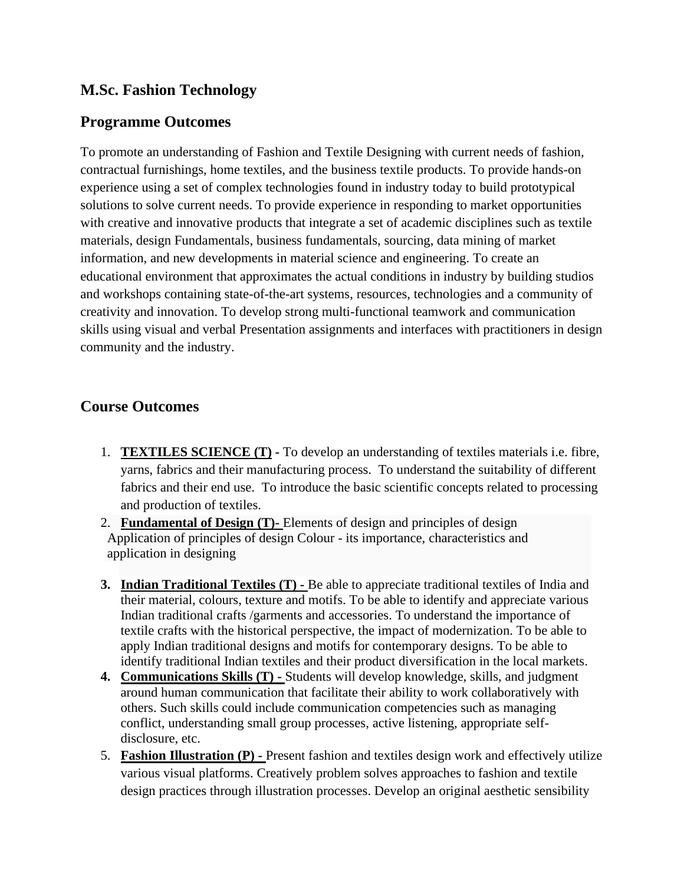## **M.Sc. Fashion Technology**

## **Programme Outcomes**

To promote an understanding of Fashion and Textile Designing with current needs of fashion, contractual furnishings, home textiles, and the business textile products. To provide hands-on experience using a set of complex technologies found in industry today to build prototypical solutions to solve current needs. To provide experience in responding to market opportunities with creative and innovative products that integrate a set of academic disciplines such as textile materials, design Fundamentals, business fundamentals, sourcing, data mining of market information, and new developments in material science and engineering. To create an educational environment that approximates the actual conditions in industry by building studios and workshops containing state-of-the-art systems, resources, technologies and a community of creativity and innovation. To develop strong multi-functional teamwork and communication skills using visual and verbal Presentation assignments and interfaces with practitioners in design community and the industry.

## **Course Outcomes**

- 1. **TEXTILES SCIENCE (T) -** To develop an understanding of textiles materials i.e. fibre, yarns, fabrics and their manufacturing process. To understand the suitability of different fabrics and their end use. To introduce the basic scientific concepts related to processing and production of textiles.
- 2. **Fundamental of Design (T)-** Elements of design and [principles of design](http://ecoursesonline.iasri.res.in/mod/page/view.php?id=26928) Application of principles of design Colour - its importance, characteristics and application in designing
- **3. Indian Traditional Textiles (T) -** Be able to appreciate traditional textiles of India and their material, colours, texture and motifs. To be able to identify and appreciate various Indian traditional crafts /garments and accessories. To understand the importance of textile crafts with the historical perspective, the impact of modernization. To be able to apply Indian traditional designs and motifs for contemporary designs. To be able to identify traditional Indian textiles and their product diversification in the local markets.
- **4. Communications Skills (T) -** Students will develop knowledge, skills, and judgment around human communication that facilitate their ability to work collaboratively with others. Such skills could include communication competencies such as managing conflict, understanding small group processes, active listening, appropriate selfdisclosure, etc.
- 5. **Fashion Illustration (P) -** Present fashion and textiles design work and effectively utilize various visual platforms. Creatively problem solves approaches to fashion and textile design practices through illustration processes. Develop an original aesthetic sensibility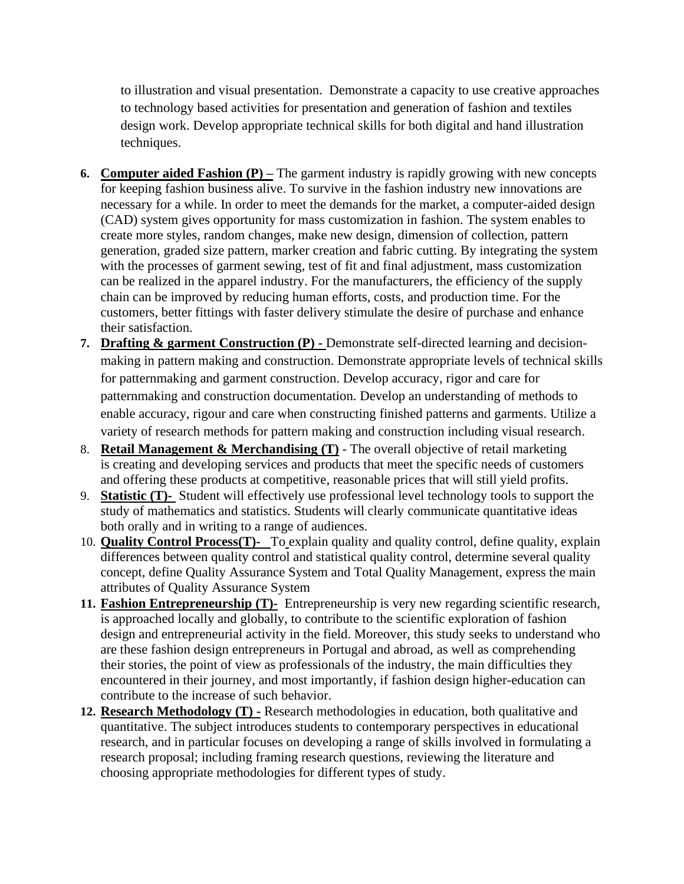to illustration and visual presentation. Demonstrate a capacity to use creative approaches to technology based activities for presentation and generation of fashion and textiles design work. Develop appropriate technical skills for both digital and hand illustration techniques.

- **6. Computer aided Fashion (P) –** The garment industry is rapidly growing with new concepts for keeping fashion business alive. To survive in the fashion industry new innovations are necessary for a while. In order to meet the demands for the market, a computer-aided design (CAD) system gives opportunity for mass customization in fashion. The system enables to create more styles, random changes, make new design, dimension of collection, pattern generation, graded size pattern, marker creation and fabric cutting. By integrating the system with the processes of garment sewing, test of fit and final adjustment, mass customization can be realized in the apparel industry. For the manufacturers, the efficiency of the supply chain can be improved by reducing human efforts, costs, and production time. For the customers, better fittings with faster delivery stimulate the desire of purchase and enhance their satisfaction.
- **7. Drafting & garment Construction (P) -** Demonstrate self-directed learning and decisionmaking in pattern making and construction. Demonstrate appropriate levels of technical skills for patternmaking and garment construction. Develop accuracy, rigor and care for patternmaking and construction documentation. Develop an understanding of methods to enable accuracy, rigour and care when constructing finished patterns and garments. Utilize a variety of research methods for pattern making and construction including visual research.
- 8. **Retail Management & Merchandising (T)** The overall objective of retail marketing is creating and developing services and products that meet the specific needs of customers and offering these products at competitive, reasonable prices that will still yield profits.
- 9. **Statistic (T)-** Student will effectively use professional level technology tools to support the study of mathematics and statistics. Students will clearly communicate quantitative ideas both orally and in writing to a range of audiences.
- 10. **Quality Control Process(T)-** To explain quality and quality control, define quality, explain differences between quality control and statistical quality control, determine several quality concept, define Quality Assurance System and Total Quality Management, express the main attributes of Quality Assurance System
- **11. Fashion Entrepreneurship (T)-** Entrepreneurship is very new regarding scientific research, is approached locally and globally, to contribute to the scientific exploration of fashion design and entrepreneurial activity in the field. Moreover, this study seeks to understand who are these fashion design entrepreneurs in Portugal and abroad, as well as comprehending their stories, the point of view as professionals of the industry, the main difficulties they encountered in their journey, and most importantly, if fashion design higher-education can contribute to the increase of such behavior.
- **12. Research Methodology (T) -** Research methodologies in education, both qualitative and quantitative. The subject introduces students to contemporary perspectives in educational research, and in particular focuses on developing a range of skills involved in formulating a research proposal; including framing research questions, reviewing the literature and choosing appropriate methodologies for different types of study.